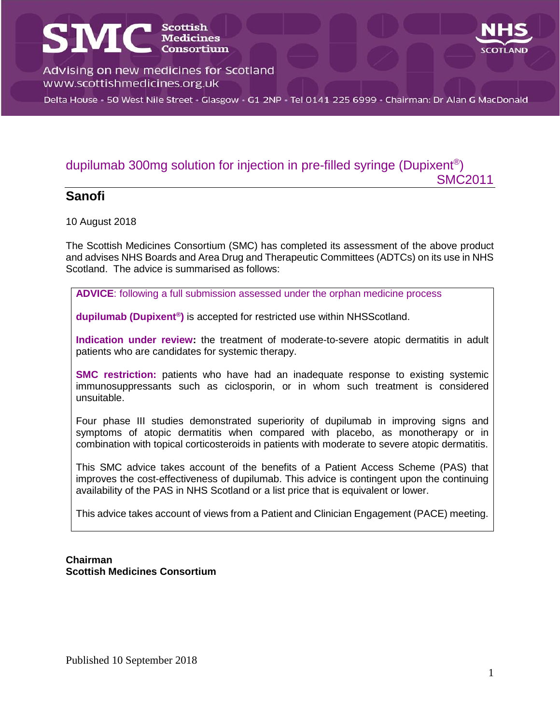# **SMC** SCOTLISCOPER Advising on new medicines for Scotland www.scottishmedicines.org.uk

Delta House · 50 West Nile Street · Glasgow · G1 2NP · Tel 0141 225 6999 · Chairman: Dr Alan G MacDonald

### dupilumab 300mg solution for injection in pre-filled syringe (Dupixent®)

#### **Sanofi**

10 August 2018

The Scottish Medicines Consortium (SMC) has completed its assessment of the above product and advises NHS Boards and Area Drug and Therapeutic Committees (ADTCs) on its use in NHS Scotland. The advice is summarised as follows:

**ADVICE**: following a full submission assessed under the orphan medicine process

**dupilumab (Dupixent® )** is accepted for restricted use within NHSScotland.

**Indication under review:** the treatment of moderate-to-severe atopic dermatitis in adult patients who are candidates for systemic therapy.

**SMC restriction:** patients who have had an inadequate response to existing systemic immunosuppressants such as ciclosporin, or in whom such treatment is considered unsuitable.

Four phase III studies demonstrated superiority of dupilumab in improving signs and symptoms of atopic dermatitis when compared with placebo, as monotherapy or in combination with topical corticosteroids in patients with moderate to severe atopic dermatitis.

This SMC advice takes account of the benefits of a Patient Access Scheme (PAS) that improves the cost-effectiveness of dupilumab. This advice is contingent upon the continuing availability of the PAS in NHS Scotland or a list price that is equivalent or lower.

This advice takes account of views from a Patient and Clinician Engagement (PACE) meeting.

#### **Chairman Scottish Medicines Consortium**

SMC2011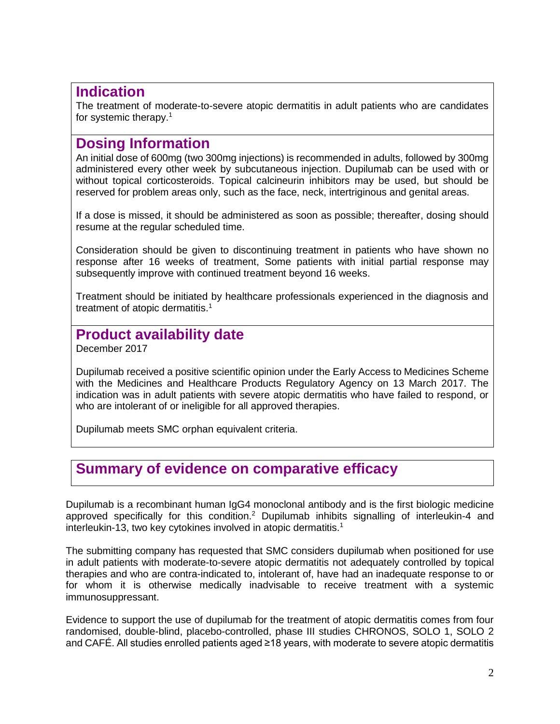### **Indication**

The treatment of moderate-to-severe atopic dermatitis in adult patients who are candidates for systemic therapy.<sup>1</sup>

### **Dosing Information**

An initial dose of 600mg (two 300mg injections) is recommended in adults, followed by 300mg administered every other week by subcutaneous injection. Dupilumab can be used with or without topical corticosteroids. Topical calcineurin inhibitors may be used, but should be reserved for problem areas only, such as the face, neck, intertriginous and genital areas.

If a dose is missed, it should be administered as soon as possible; thereafter, dosing should resume at the regular scheduled time.

Consideration should be given to discontinuing treatment in patients who have shown no response after 16 weeks of treatment, Some patients with initial partial response may subsequently improve with continued treatment beyond 16 weeks.

Treatment should be initiated by healthcare professionals experienced in the diagnosis and treatment of atopic dermatitis.<sup>1</sup>

### **Product availability date**

December 2017

Dupilumab received a positive scientific opinion under the Early Access to Medicines Scheme with the Medicines and Healthcare Products Regulatory Agency on 13 March 2017. The indication was in adult patients with severe atopic dermatitis who have failed to respond, or who are intolerant of or ineligible for all approved therapies.

Dupilumab meets SMC orphan equivalent criteria.

### **Summary of evidence on comparative efficacy**

Dupilumab is a recombinant human IgG4 monoclonal antibody and is the first biologic medicine approved specifically for this condition.<sup>2</sup> Dupilumab inhibits signalling of interleukin-4 and interleukin-13, two key cytokines involved in atopic dermatitis.<sup>1</sup>

The submitting company has requested that SMC considers dupilumab when positioned for use in adult patients with moderate-to-severe atopic dermatitis not adequately controlled by topical therapies and who are contra-indicated to, intolerant of, have had an inadequate response to or for whom it is otherwise medically inadvisable to receive treatment with a systemic immunosuppressant.

Evidence to support the use of dupilumab for the treatment of atopic dermatitis comes from four randomised, double-blind, placebo-controlled, phase III studies CHRONOS, SOLO 1, SOLO 2 and CAFÉ. All studies enrolled patients aged ≥18 years, with moderate to severe atopic dermatitis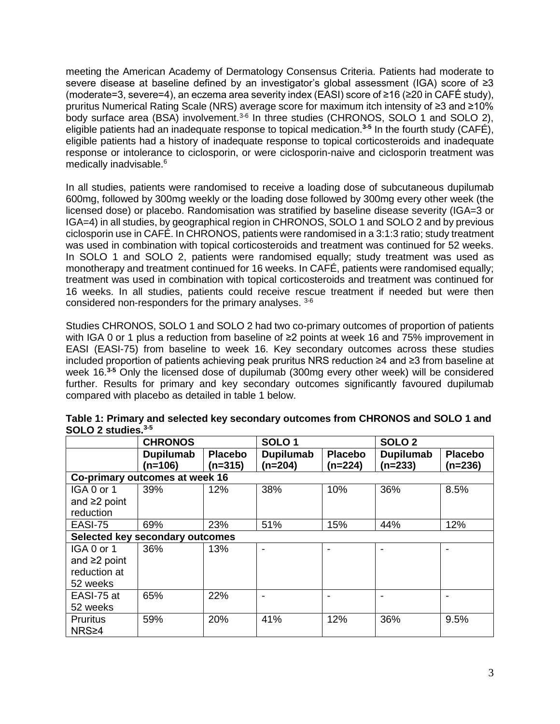meeting the American Academy of Dermatology Consensus Criteria. Patients had moderate to severe disease at baseline defined by an investigator's global assessment (IGA) score of ≥3 (moderate=3, severe=4), an eczema area severity index (EASI) score of ≥16 (≥20 in CAFÉ study), pruritus Numerical Rating Scale (NRS) average score for maximum itch intensity of ≥3 and ≥10% body surface area (BSA) involvement.<sup>3-6</sup> In three studies (CHRONOS, SOLO 1 and SOLO 2), eligible patients had an inadequate response to topical medication.**3-5** In the fourth study (CAFÉ), eligible patients had a history of inadequate response to topical corticosteroids and inadequate response or intolerance to ciclosporin, or were ciclosporin-naive and ciclosporin treatment was medically inadvisable. 6

In all studies, patients were randomised to receive a loading dose of subcutaneous dupilumab 600mg, followed by 300mg weekly or the loading dose followed by 300mg every other week (the licensed dose) or placebo. Randomisation was stratified by baseline disease severity (IGA=3 or IGA=4) in all studies, by geographical region in CHRONOS, SOLO 1 and SOLO 2 and by previous ciclosporin use in CAFÉ. In CHRONOS, patients were randomised in a 3:1:3 ratio; study treatment was used in combination with topical corticosteroids and treatment was continued for 52 weeks. In SOLO 1 and SOLO 2, patients were randomised equally; study treatment was used as monotherapy and treatment continued for 16 weeks. In CAFÉ, patients were randomised equally; treatment was used in combination with topical corticosteroids and treatment was continued for 16 weeks. In all studies, patients could receive rescue treatment if needed but were then considered non-responders for the primary analyses. 3-6

Studies CHRONOS, SOLO 1 and SOLO 2 had two co-primary outcomes of proportion of patients with IGA 0 or 1 plus a reduction from baseline of ≥2 points at week 16 and 75% improvement in EASI (EASI-75) from baseline to week 16. Key secondary outcomes across these studies included proportion of patients achieving peak pruritus NRS reduction ≥4 and ≥3 from baseline at week 16. **3-5** Only the licensed dose of dupilumab (300mg every other week) will be considered further. Results for primary and key secondary outcomes significantly favoured dupilumab compared with placebo as detailed in table 1 below.

|                                 | <b>CHRONOS</b>         |                             | SOLO <sub>1</sub>           |                             | SOLO <sub>2</sub>      |                           |
|---------------------------------|------------------------|-----------------------------|-----------------------------|-----------------------------|------------------------|---------------------------|
|                                 | Dupilumab<br>$(n=106)$ | <b>Placebo</b><br>$(n=315)$ | <b>Dupilumab</b><br>(n=204) | <b>Placebo</b><br>$(n=224)$ | Dupilumab<br>$(n=233)$ | <b>Placebo</b><br>(n=236) |
| Co-primary outcomes at week 16  |                        |                             |                             |                             |                        |                           |
| IGA 0 or 1                      | 39%                    | 12%                         | 38%                         | 10%                         | 36%                    | 8.5%                      |
| and $\geq 2$ point              |                        |                             |                             |                             |                        |                           |
| reduction                       |                        |                             |                             |                             |                        |                           |
| EASI-75                         | 69%                    | 23%                         | 51%                         | 15%                         | 44%                    | 12%                       |
| Selected key secondary outcomes |                        |                             |                             |                             |                        |                           |
| IGA 0 or 1                      | 36%                    | 13%                         |                             |                             |                        |                           |
| and $\geq$ point                |                        |                             |                             |                             |                        |                           |
| reduction at                    |                        |                             |                             |                             |                        |                           |
| 52 weeks                        |                        |                             |                             |                             |                        |                           |
| EASI-75 at                      | 65%                    | 22%                         |                             |                             |                        |                           |
| 52 weeks                        |                        |                             |                             |                             |                        |                           |
| <b>Pruritus</b>                 | 59%                    | 20%                         | 41%                         | 12%                         | 36%                    | 9.5%                      |
| NRS≥4                           |                        |                             |                             |                             |                        |                           |

**Table 1: Primary and selected key secondary outcomes from CHRONOS and SOLO 1 and SOLO 2 studies. 3-5**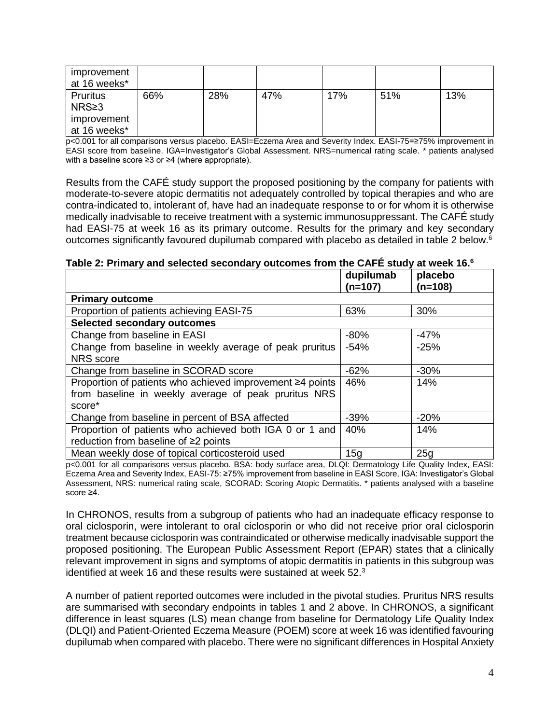| improvement<br>at 16 weeks* |     |     |     |     |     |     |
|-----------------------------|-----|-----|-----|-----|-----|-----|
| Pruritus<br>$NRS \geq 3$    | 66% | 28% | 47% | 17% | 51% | 13% |
| improvement<br>at 16 weeks* |     |     |     |     |     |     |

p<0.001 for all comparisons versus placebo. EASI=Eczema Area and Severity Index. EASI-75=≥75% improvement in EASI score from baseline. IGA=Investigator's Global Assessment. NRS=numerical rating scale. \* patients analysed with a baseline score ≥3 or ≥4 (where appropriate).

Results from the CAFÉ study support the proposed positioning by the company for patients with moderate-to-severe atopic dermatitis not adequately controlled by topical therapies and who are contra-indicated to, intolerant of, have had an inadequate response to or for whom it is otherwise medically inadvisable to receive treatment with a systemic immunosuppressant. The CAFÉ study had EASI-75 at week 16 as its primary outcome. Results for the primary and key secondary outcomes significantly favoured dupilumab compared with placebo as detailed in table 2 below.<sup>6</sup>

|  |  | Table 2: Primary and selected secondary outcomes from the CAFÉ study at week 16. $^6$ |  |
|--|--|---------------------------------------------------------------------------------------|--|
|--|--|---------------------------------------------------------------------------------------|--|

|                                                           | dupilumab<br>$(n=107)$ | placebo<br>$(n=108)$ |
|-----------------------------------------------------------|------------------------|----------------------|
| <b>Primary outcome</b>                                    |                        |                      |
| Proportion of patients achieving EASI-75                  | 63%                    | 30%                  |
| <b>Selected secondary outcomes</b>                        |                        |                      |
| Change from baseline in EASI                              | $-80%$                 | $-47%$               |
| Change from baseline in weekly average of peak pruritus   | $-54%$                 | $-25%$               |
| NRS score                                                 |                        |                      |
| Change from baseline in SCORAD score                      | $-62%$                 | $-30%$               |
| Proportion of patients who achieved improvement ≥4 points | 46%                    | 14%                  |
| from baseline in weekly average of peak pruritus NRS      |                        |                      |
| score*                                                    |                        |                      |
| Change from baseline in percent of BSA affected           | $-39%$                 | $-20%$               |
| Proportion of patients who achieved both IGA 0 or 1 and   | 40%                    | 14%                  |
| reduction from baseline of ≥2 points                      |                        |                      |
| Mean weekly dose of topical corticosteroid used           | 15g                    | 25g                  |

p<0.001 for all comparisons versus placebo. BSA: body surface area, DLQI: Dermatology Life Quality Index, EASI: Eczema Area and Severity Index, EASI-75: ≥75% improvement from baseline in EASI Score, IGA: Investigator's Global Assessment, NRS: numerical rating scale, SCORAD: Scoring Atopic Dermatitis. \* patients analysed with a baseline score ≥4.

In CHRONOS, results from a subgroup of patients who had an inadequate efficacy response to oral ciclosporin, were intolerant to oral ciclosporin or who did not receive prior oral ciclosporin treatment because ciclosporin was contraindicated or otherwise medically inadvisable support the proposed positioning. The European Public Assessment Report (EPAR) states that a clinically relevant improvement in signs and symptoms of atopic dermatitis in patients in this subgroup was identified at week 16 and these results were sustained at week 52 $3$ 

A number of patient reported outcomes were included in the pivotal studies. Pruritus NRS results are summarised with secondary endpoints in tables 1 and 2 above. In CHRONOS, a significant difference in least squares (LS) mean change from baseline for Dermatology Life Quality Index (DLQI) and Patient-Oriented Eczema Measure (POEM) score at week 16 was identified favouring dupilumab when compared with placebo. There were no significant differences in Hospital Anxiety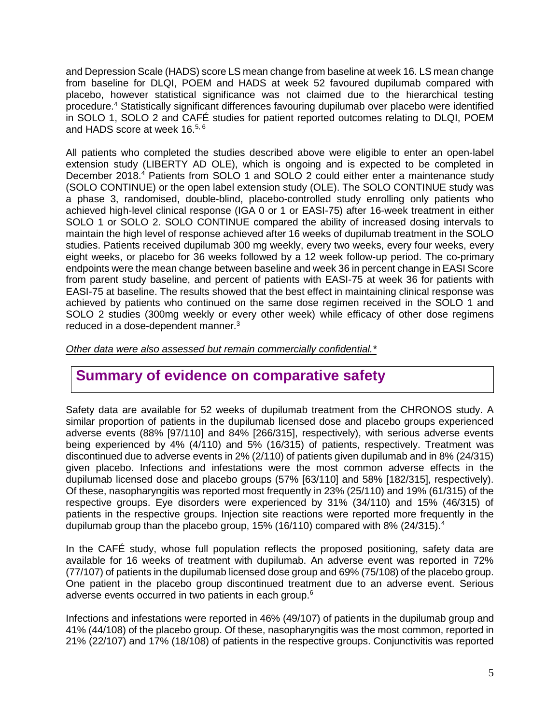and Depression Scale (HADS) score LS mean change from baseline at week 16. LS mean change from baseline for DLQI, POEM and HADS at week 52 favoured dupilumab compared with placebo, however statistical significance was not claimed due to the hierarchical testing procedure.<sup>4</sup> Statistically significant differences favouring dupilumab over placebo were identified in SOLO 1, SOLO 2 and CAFÉ studies for patient reported outcomes relating to DLQI, POEM and HADS score at week 16.<sup>5, 6</sup>

All patients who completed the studies described above were eligible to enter an open-label extension study (LIBERTY AD OLE), which is ongoing and is expected to be completed in December 2018.<sup>4</sup> Patients from SOLO 1 and SOLO 2 could either enter a maintenance study (SOLO CONTINUE) or the open label extension study (OLE). The SOLO CONTINUE study was a phase 3, randomised, double-blind, placebo-controlled study enrolling only patients who achieved high-level clinical response (IGA 0 or 1 or EASI-75) after 16-week treatment in either SOLO 1 or SOLO 2. SOLO CONTINUE compared the ability of increased dosing intervals to maintain the high level of response achieved after 16 weeks of dupilumab treatment in the SOLO studies. Patients received dupilumab 300 mg weekly, every two weeks, every four weeks, every eight weeks, or placebo for 36 weeks followed by a 12 week follow-up period. The co-primary endpoints were the mean change between baseline and week 36 in percent change in EASI Score from parent study baseline, and percent of patients with EASI-75 at week 36 for patients with EASI-75 at baseline. The results showed that the best effect in maintaining clinical response was achieved by patients who continued on the same dose regimen received in the SOLO 1 and SOLO 2 studies (300mg weekly or every other week) while efficacy of other dose regimens reduced in a dose-dependent manner.<sup>3</sup>

*Other data were also assessed but remain commercially confidential.\**

### **Summary of evidence on comparative safety**

Safety data are available for 52 weeks of dupilumab treatment from the CHRONOS study. A similar proportion of patients in the dupilumab licensed dose and placebo groups experienced adverse events (88% [97/110] and 84% [266/315], respectively), with serious adverse events being experienced by 4% (4/110) and 5% (16/315) of patients, respectively. Treatment was discontinued due to adverse events in 2% (2/110) of patients given dupilumab and in 8% (24/315) given placebo. Infections and infestations were the most common adverse effects in the dupilumab licensed dose and placebo groups (57% [63/110] and 58% [182/315], respectively). Of these, nasopharyngitis was reported most frequently in 23% (25/110) and 19% (61/315) of the respective groups. Eye disorders were experienced by 31% (34/110) and 15% (46/315) of patients in the respective groups. Injection site reactions were reported more frequently in the dupilumab group than the placebo group, 15% (16/110) compared with 8% (24/315).<sup>4</sup>

In the CAFÉ study, whose full population reflects the proposed positioning, safety data are available for 16 weeks of treatment with dupilumab. An adverse event was reported in 72% (77/107) of patients in the dupilumab licensed dose group and 69% (75/108) of the placebo group. One patient in the placebo group discontinued treatment due to an adverse event. Serious adverse events occurred in two patients in each group.<sup>6</sup>

Infections and infestations were reported in 46% (49/107) of patients in the dupilumab group and 41% (44/108) of the placebo group. Of these, nasopharyngitis was the most common, reported in 21% (22/107) and 17% (18/108) of patients in the respective groups. Conjunctivitis was reported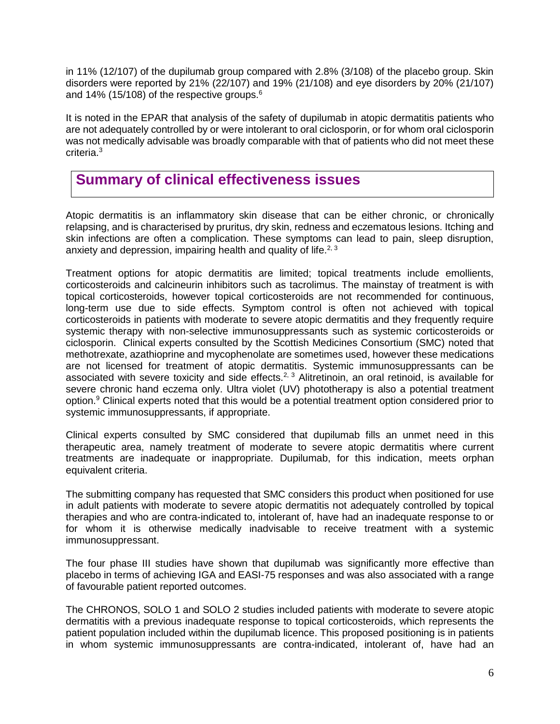in 11% (12/107) of the dupilumab group compared with 2.8% (3/108) of the placebo group. Skin disorders were reported by 21% (22/107) and 19% (21/108) and eye disorders by 20% (21/107) and 14% (15/108) of the respective groups. $6\overline{6}$ 

It is noted in the EPAR that analysis of the safety of dupilumab in atopic dermatitis patients who are not adequately controlled by or were intolerant to oral ciclosporin, or for whom oral ciclosporin was not medically advisable was broadly comparable with that of patients who did not meet these criteria.<sup>3</sup>

### **Summary of clinical effectiveness issues**

Atopic dermatitis is an inflammatory skin disease that can be either chronic, or chronically relapsing, and is characterised by pruritus, dry skin, redness and eczematous lesions. Itching and skin infections are often a complication. These symptoms can lead to pain, sleep disruption, anxiety and depression, impairing health and quality of life.<sup>2, 3</sup>

Treatment options for atopic dermatitis are limited; topical treatments include emollients, corticosteroids and calcineurin inhibitors such as tacrolimus. The mainstay of treatment is with topical corticosteroids, however topical corticosteroids are not recommended for continuous, long-term use due to side effects. Symptom control is often not achieved with topical corticosteroids in patients with moderate to severe atopic dermatitis and they frequently require systemic therapy with non-selective immunosuppressants such as systemic corticosteroids or ciclosporin. Clinical experts consulted by the Scottish Medicines Consortium (SMC) noted that methotrexate, azathioprine and mycophenolate are sometimes used, however these medications are not licensed for treatment of atopic dermatitis. Systemic immunosuppressants can be associated with severe toxicity and side effects.<sup>2, 3</sup> Alitretinoin, an oral retinoid, is available for severe chronic hand eczema only. Ultra violet (UV) phototherapy is also a potential treatment option.<sup>9</sup> Clinical experts noted that this would be a potential treatment option considered prior to systemic immunosuppressants, if appropriate.

Clinical experts consulted by SMC considered that dupilumab fills an unmet need in this therapeutic area, namely treatment of moderate to severe atopic dermatitis where current treatments are inadequate or inappropriate. Dupilumab, for this indication, meets orphan equivalent criteria.

The submitting company has requested that SMC considers this product when positioned for use in adult patients with moderate to severe atopic dermatitis not adequately controlled by topical therapies and who are contra-indicated to, intolerant of, have had an inadequate response to or for whom it is otherwise medically inadvisable to receive treatment with a systemic immunosuppressant.

The four phase III studies have shown that dupilumab was significantly more effective than placebo in terms of achieving IGA and EASI-75 responses and was also associated with a range of favourable patient reported outcomes.

The CHRONOS, SOLO 1 and SOLO 2 studies included patients with moderate to severe atopic dermatitis with a previous inadequate response to topical corticosteroids, which represents the patient population included within the dupilumab licence. This proposed positioning is in patients in whom systemic immunosuppressants are contra-indicated, intolerant of, have had an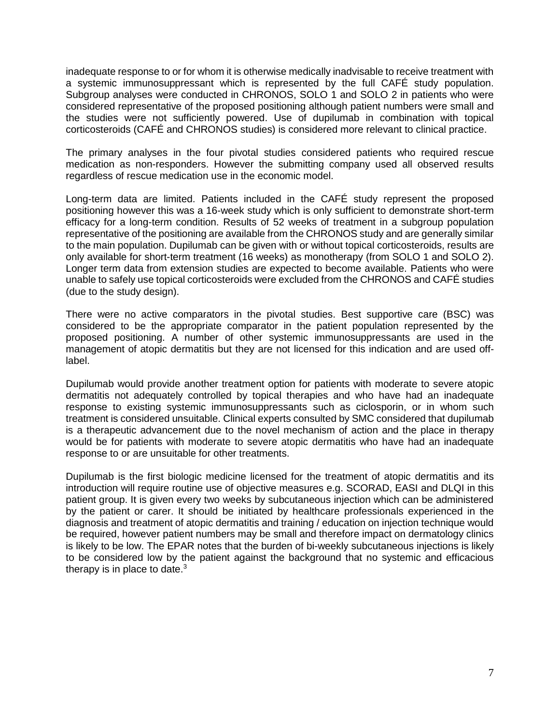inadequate response to or for whom it is otherwise medically inadvisable to receive treatment with a systemic immunosuppressant which is represented by the full CAFÉ study population. Subgroup analyses were conducted in CHRONOS, SOLO 1 and SOLO 2 in patients who were considered representative of the proposed positioning although patient numbers were small and the studies were not sufficiently powered. Use of dupilumab in combination with topical corticosteroids (CAFÉ and CHRONOS studies) is considered more relevant to clinical practice.

The primary analyses in the four pivotal studies considered patients who required rescue medication as non-responders. However the submitting company used all observed results regardless of rescue medication use in the economic model.

Long-term data are limited. Patients included in the CAFÉ study represent the proposed positioning however this was a 16-week study which is only sufficient to demonstrate short-term efficacy for a long-term condition. Results of 52 weeks of treatment in a subgroup population representative of the positioning are available from the CHRONOS study and are generally similar to the main population. Dupilumab can be given with or without topical corticosteroids, results are only available for short-term treatment (16 weeks) as monotherapy (from SOLO 1 and SOLO 2). Longer term data from extension studies are expected to become available. Patients who were unable to safely use topical corticosteroids were excluded from the CHRONOS and CAFÉ studies (due to the study design).

There were no active comparators in the pivotal studies. Best supportive care (BSC) was considered to be the appropriate comparator in the patient population represented by the proposed positioning. A number of other systemic immunosuppressants are used in the management of atopic dermatitis but they are not licensed for this indication and are used offlabel.

Dupilumab would provide another treatment option for patients with moderate to severe atopic dermatitis not adequately controlled by topical therapies and who have had an inadequate response to existing systemic immunosuppressants such as ciclosporin, or in whom such treatment is considered unsuitable. Clinical experts consulted by SMC considered that dupilumab is a therapeutic advancement due to the novel mechanism of action and the place in therapy would be for patients with moderate to severe atopic dermatitis who have had an inadequate response to or are unsuitable for other treatments.

Dupilumab is the first biologic medicine licensed for the treatment of atopic dermatitis and its introduction will require routine use of objective measures e.g. SCORAD, EASI and DLQI in this patient group. It is given every two weeks by subcutaneous injection which can be administered by the patient or carer. It should be initiated by healthcare professionals experienced in the diagnosis and treatment of atopic dermatitis and training / education on injection technique would be required, however patient numbers may be small and therefore impact on dermatology clinics is likely to be low. The EPAR notes that the burden of bi-weekly subcutaneous injections is likely to be considered low by the patient against the background that no systemic and efficacious therapy is in place to date. $3$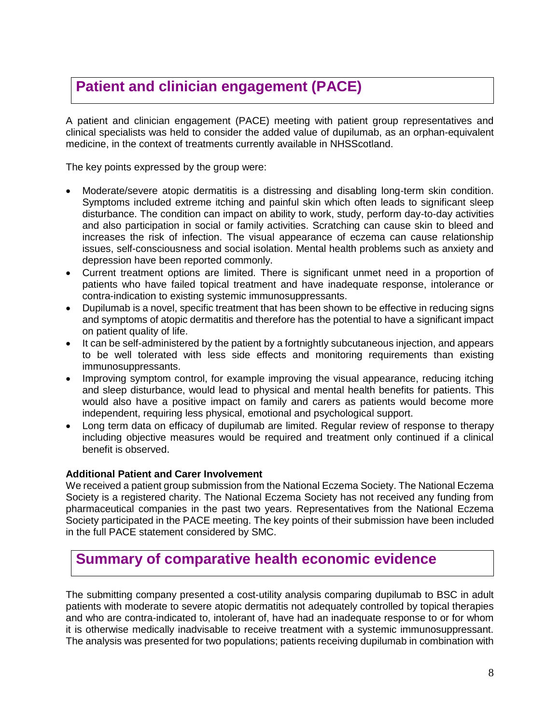# **Patient and clinician engagement (PACE)**

A patient and clinician engagement (PACE) meeting with patient group representatives and clinical specialists was held to consider the added value of dupilumab, as an orphan-equivalent medicine, in the context of treatments currently available in NHSScotland.

The key points expressed by the group were:

- Moderate/severe atopic dermatitis is a distressing and disabling long-term skin condition. Symptoms included extreme itching and painful skin which often leads to significant sleep disturbance. The condition can impact on ability to work, study, perform day-to-day activities and also participation in social or family activities. Scratching can cause skin to bleed and increases the risk of infection. The visual appearance of eczema can cause relationship issues, self-consciousness and social isolation. Mental health problems such as anxiety and depression have been reported commonly.
- Current treatment options are limited. There is significant unmet need in a proportion of patients who have failed topical treatment and have inadequate response, intolerance or contra-indication to existing systemic immunosuppressants.
- Dupilumab is a novel, specific treatment that has been shown to be effective in reducing signs and symptoms of atopic dermatitis and therefore has the potential to have a significant impact on patient quality of life.
- It can be self-administered by the patient by a fortnightly subcutaneous injection, and appears to be well tolerated with less side effects and monitoring requirements than existing immunosuppressants.
- Improving symptom control, for example improving the visual appearance, reducing itching and sleep disturbance, would lead to physical and mental health benefits for patients. This would also have a positive impact on family and carers as patients would become more independent, requiring less physical, emotional and psychological support.
- Long term data on efficacy of dupilumab are limited. Regular review of response to therapy including objective measures would be required and treatment only continued if a clinical benefit is observed.

#### **Additional Patient and Carer Involvement**

We received a patient group submission from the National Eczema Society. The National Eczema Society is a registered charity. The National Eczema Society has not received any funding from pharmaceutical companies in the past two years. Representatives from the National Eczema Society participated in the PACE meeting. The key points of their submission have been included in the full PACE statement considered by SMC.

### **Summary of comparative health economic evidence**

The submitting company presented a cost-utility analysis comparing dupilumab to BSC in adult patients with moderate to severe atopic dermatitis not adequately controlled by topical therapies and who are contra-indicated to, intolerant of, have had an inadequate response to or for whom it is otherwise medically inadvisable to receive treatment with a systemic immunosuppressant. The analysis was presented for two populations; patients receiving dupilumab in combination with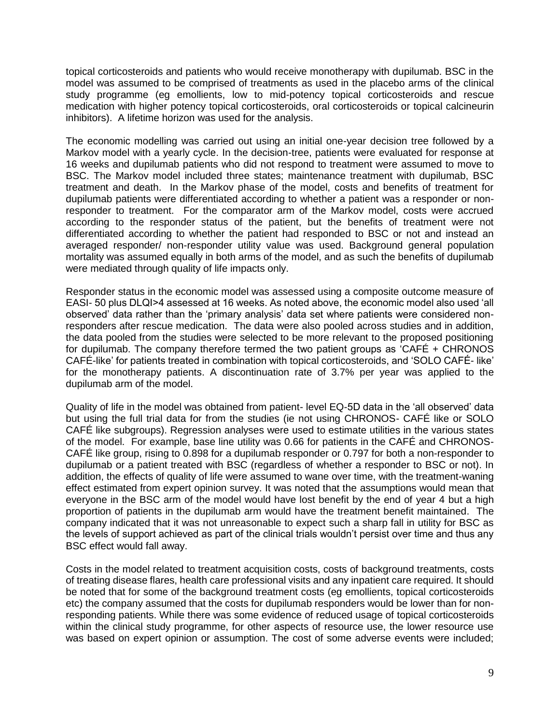topical corticosteroids and patients who would receive monotherapy with dupilumab. BSC in the model was assumed to be comprised of treatments as used in the placebo arms of the clinical study programme (eg emollients, low to mid-potency topical corticosteroids and rescue medication with higher potency topical corticosteroids, oral corticosteroids or topical calcineurin inhibitors). A lifetime horizon was used for the analysis.

The economic modelling was carried out using an initial one-year decision tree followed by a Markov model with a yearly cycle. In the decision-tree, patients were evaluated for response at 16 weeks and dupilumab patients who did not respond to treatment were assumed to move to BSC. The Markov model included three states; maintenance treatment with dupilumab, BSC treatment and death. In the Markov phase of the model, costs and benefits of treatment for dupilumab patients were differentiated according to whether a patient was a responder or nonresponder to treatment. For the comparator arm of the Markov model, costs were accrued according to the responder status of the patient, but the benefits of treatment were not differentiated according to whether the patient had responded to BSC or not and instead an averaged responder/ non-responder utility value was used. Background general population mortality was assumed equally in both arms of the model, and as such the benefits of dupilumab were mediated through quality of life impacts only.

Responder status in the economic model was assessed using a composite outcome measure of EASI- 50 plus DLQI>4 assessed at 16 weeks. As noted above, the economic model also used 'all observed' data rather than the 'primary analysis' data set where patients were considered nonresponders after rescue medication. The data were also pooled across studies and in addition, the data pooled from the studies were selected to be more relevant to the proposed positioning for dupilumab. The company therefore termed the two patient groups as 'CAFÉ + CHRONOS CAFÉ-like' for patients treated in combination with topical corticosteroids, and 'SOLO CAFÉ- like' for the monotherapy patients. A discontinuation rate of 3.7% per year was applied to the dupilumab arm of the model.

Quality of life in the model was obtained from patient- level EQ-5D data in the 'all observed' data but using the full trial data for from the studies (ie not using CHRONOS- CAFÉ like or SOLO CAFÉ like subgroups). Regression analyses were used to estimate utilities in the various states of the model. For example, base line utility was 0.66 for patients in the CAFÉ and CHRONOS-CAFÉ like group, rising to 0.898 for a dupilumab responder or 0.797 for both a non-responder to dupilumab or a patient treated with BSC (regardless of whether a responder to BSC or not). In addition, the effects of quality of life were assumed to wane over time, with the treatment-waning effect estimated from expert opinion survey. It was noted that the assumptions would mean that everyone in the BSC arm of the model would have lost benefit by the end of year 4 but a high proportion of patients in the dupilumab arm would have the treatment benefit maintained. The company indicated that it was not unreasonable to expect such a sharp fall in utility for BSC as the levels of support achieved as part of the clinical trials wouldn't persist over time and thus any BSC effect would fall away.

Costs in the model related to treatment acquisition costs, costs of background treatments, costs of treating disease flares, health care professional visits and any inpatient care required. It should be noted that for some of the background treatment costs (eg emollients, topical corticosteroids etc) the company assumed that the costs for dupilumab responders would be lower than for nonresponding patients. While there was some evidence of reduced usage of topical corticosteroids within the clinical study programme, for other aspects of resource use, the lower resource use was based on expert opinion or assumption. The cost of some adverse events were included;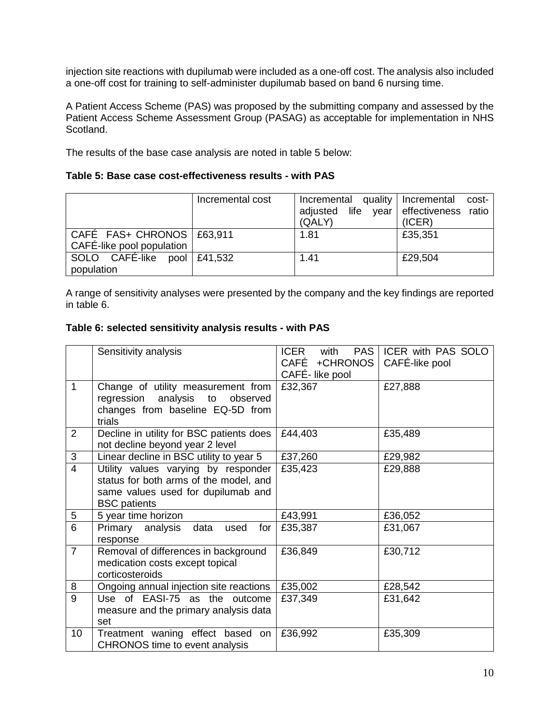injection site reactions with dupilumab were included as a one-off cost. The analysis also included a one-off cost for training to self-administer dupilumab based on band 6 nursing time.

A Patient Access Scheme (PAS) was proposed by the submitting company and assessed by the Patient Access Scheme Assessment Group (PASAG) as acceptable for implementation in NHS Scotland.

The results of the base case analysis are noted in table 5 below:

#### **Table 5: Base case cost-effectiveness results - with PAS**

|                             | Incremental cost | Incremental quality<br>adjusted life year effectiveness ratio<br>(QALY) | Incremental<br>cost-<br>(ICER) |
|-----------------------------|------------------|-------------------------------------------------------------------------|--------------------------------|
| CAFÉ FAS+ CHRONOS   £63,911 |                  | 1.81                                                                    | £35,351                        |
| CAFÉ-like pool population   |                  |                                                                         |                                |
| SOLO CAFÉ-like pool £41,532 |                  | 1.41                                                                    | £29,504                        |
| population                  |                  |                                                                         |                                |

A range of sensitivity analyses were presented by the company and the key findings are reported in table 6.

#### **Table 6: selected sensitivity analysis results - with PAS**

|                | Sensitivity analysis                                                                                                                       | <b>ICER</b><br>PAS  <br>with<br>CAFÉ +CHRONOS<br>CAFÉ-like pool | ICER with PAS SOLO<br>CAFÉ-like pool |
|----------------|--------------------------------------------------------------------------------------------------------------------------------------------|-----------------------------------------------------------------|--------------------------------------|
| 1              | Change of utility measurement from<br>regression analysis to<br>observed<br>changes from baseline EQ-5D from<br>trials                     | £32,367                                                         | £27,888                              |
| 2              | Decline in utility for BSC patients does<br>not decline beyond year 2 level                                                                | £44,403                                                         | £35,489                              |
| 3              | Linear decline in BSC utility to year 5                                                                                                    | £37,260                                                         | £29,982                              |
| $\overline{4}$ | Utility values varying by responder<br>status for both arms of the model, and<br>same values used for dupilumab and<br><b>BSC</b> patients | £35,423                                                         | £29,888                              |
| 5              | 5 year time horizon                                                                                                                        | £43,991                                                         | £36,052                              |
| $\overline{6}$ | Primary analysis<br>data<br>for<br>used<br>response                                                                                        | £35,387                                                         | £31,067                              |
| $\overline{7}$ | Removal of differences in background<br>medication costs except topical<br>corticosteroids                                                 | £36,849                                                         | £30,712                              |
| 8              | Ongoing annual injection site reactions                                                                                                    | £35,002                                                         | £28,542                              |
| $\overline{9}$ | Use of EASI-75 as the outcome<br>measure and the primary analysis data<br>set                                                              | £37,349                                                         | £31,642                              |
| 10             | Treatment waning effect based<br>on<br><b>CHRONOS</b> time to event analysis                                                               | £36,992                                                         | £35,309                              |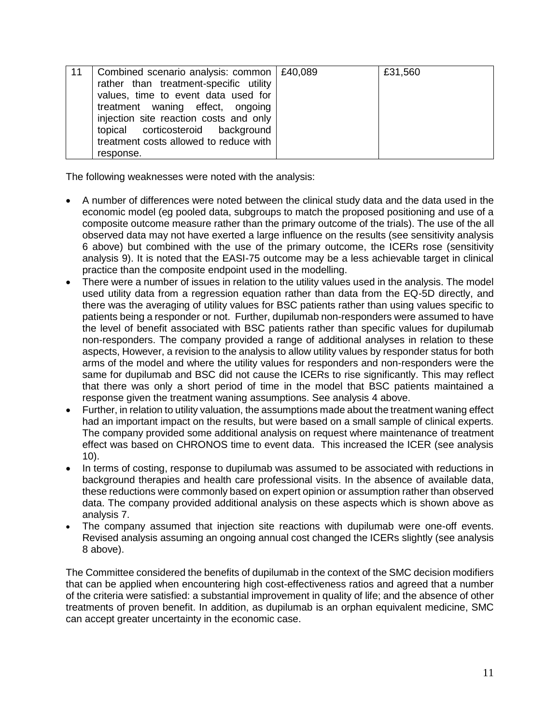| 11 | Combined scenario analysis: common   £40,089<br>rather than treatment-specific utility<br>values, time to event data used for<br>treatment waning effect, ongoing<br>injection site reaction costs and only<br>topical corticosteroid background | £31,560 |
|----|--------------------------------------------------------------------------------------------------------------------------------------------------------------------------------------------------------------------------------------------------|---------|
|    | treatment costs allowed to reduce with<br>response.                                                                                                                                                                                              |         |

The following weaknesses were noted with the analysis:

- A number of differences were noted between the clinical study data and the data used in the economic model (eg pooled data, subgroups to match the proposed positioning and use of a composite outcome measure rather than the primary outcome of the trials). The use of the all observed data may not have exerted a large influence on the results (see sensitivity analysis 6 above) but combined with the use of the primary outcome, the ICERs rose (sensitivity analysis 9). It is noted that the EASI-75 outcome may be a less achievable target in clinical practice than the composite endpoint used in the modelling.
- There were a number of issues in relation to the utility values used in the analysis. The model used utility data from a regression equation rather than data from the EQ-5D directly, and there was the averaging of utility values for BSC patients rather than using values specific to patients being a responder or not. Further, dupilumab non-responders were assumed to have the level of benefit associated with BSC patients rather than specific values for dupilumab non-responders. The company provided a range of additional analyses in relation to these aspects, However, a revision to the analysis to allow utility values by responder status for both arms of the model and where the utility values for responders and non-responders were the same for dupilumab and BSC did not cause the ICERs to rise significantly. This may reflect that there was only a short period of time in the model that BSC patients maintained a response given the treatment waning assumptions. See analysis 4 above.
- Further, in relation to utility valuation, the assumptions made about the treatment waning effect had an important impact on the results, but were based on a small sample of clinical experts. The company provided some additional analysis on request where maintenance of treatment effect was based on CHRONOS time to event data. This increased the ICER (see analysis 10).
- In terms of costing, response to dupilumab was assumed to be associated with reductions in background therapies and health care professional visits. In the absence of available data, these reductions were commonly based on expert opinion or assumption rather than observed data. The company provided additional analysis on these aspects which is shown above as analysis 7.
- The company assumed that injection site reactions with dupilumab were one-off events. Revised analysis assuming an ongoing annual cost changed the ICERs slightly (see analysis 8 above).

The Committee considered the benefits of dupilumab in the context of the SMC decision modifiers that can be applied when encountering high cost-effectiveness ratios and agreed that a number of the criteria were satisfied: a substantial improvement in quality of life; and the absence of other treatments of proven benefit. In addition, as dupilumab is an orphan equivalent medicine, SMC can accept greater uncertainty in the economic case.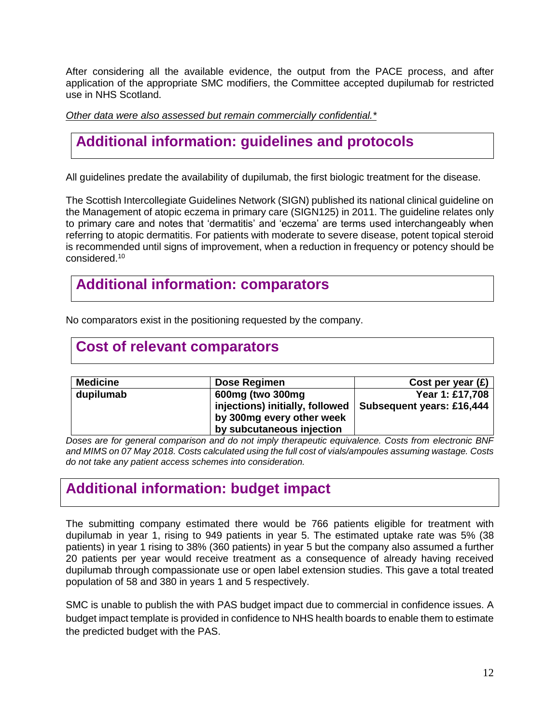After considering all the available evidence, the output from the PACE process, and after application of the appropriate SMC modifiers, the Committee accepted dupilumab for restricted use in NHS Scotland.

*Other data were also assessed but remain commercially confidential.\**

# **Additional information: guidelines and protocols**

All guidelines predate the availability of dupilumab, the first biologic treatment for the disease.

The Scottish Intercollegiate Guidelines Network (SIGN) published its national clinical guideline on the Management of atopic eczema in primary care (SIGN125) in 2011. The guideline relates only to primary care and notes that 'dermatitis' and 'eczema' are terms used interchangeably when referring to atopic dermatitis. For patients with moderate to severe disease, potent topical steroid is recommended until signs of improvement, when a reduction in frequency or potency should be considered.<sup>10</sup>

### **Additional information: comparators**

No comparators exist in the positioning requested by the company.

#### **Cost of relevant comparators**

| <b>Medicine</b> | Dose Regimen                    | Cost per year $(E)$              |
|-----------------|---------------------------------|----------------------------------|
| dupilumab       | 600mg (two 300mg                | Year 1: £17,708                  |
|                 | injections) initially, followed | <b>Subsequent years: £16,444</b> |
|                 | by 300mg every other week       |                                  |
|                 | by subcutaneous injection       |                                  |

*Doses are for general comparison and do not imply therapeutic equivalence. Costs from electronic BNF and MIMS on 07 May 2018. Costs calculated using the full cost of vials/ampoules assuming wastage. Costs do not take any patient access schemes into consideration.*

### **Additional information: budget impact**

The submitting company estimated there would be 766 patients eligible for treatment with dupilumab in year 1, rising to 949 patients in year 5. The estimated uptake rate was 5% (38 patients) in year 1 rising to 38% (360 patients) in year 5 but the company also assumed a further 20 patients per year would receive treatment as a consequence of already having received dupilumab through compassionate use or open label extension studies. This gave a total treated population of 58 and 380 in years 1 and 5 respectively.

SMC is unable to publish the with PAS budget impact due to commercial in confidence issues. A budget impact template is provided in confidence to NHS health boards to enable them to estimate the predicted budget with the PAS.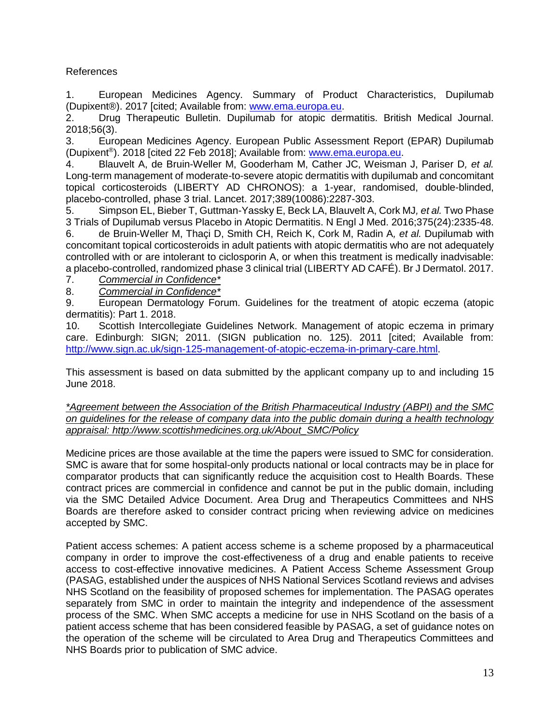#### References

1. European Medicines Agency. Summary of Product Characteristics, Dupilumab (Dupixent®). 2017 [cited; Available from: [www.ema.europa.eu.](http://www.ema.europa.eu/)

2. Drug Therapeutic Bulletin. Dupilumab for atopic dermatitis. British Medical Journal. 2018;56(3).

3. European Medicines Agency. European Public Assessment Report (EPAR) Dupilumab (Dupixent<sup>®</sup>). 2018 [cited 22 Feb 2018]; Available from: [www.ema.europa.eu.](http://www.ema.europa.eu/)

4. Blauvelt A, de Bruin-Weller M, Gooderham M, Cather JC, Weisman J, Pariser D*, et al.* Long-term management of moderate-to-severe atopic dermatitis with dupilumab and concomitant topical corticosteroids (LIBERTY AD CHRONOS): a 1-year, randomised, double-blinded, placebo-controlled, phase 3 trial. Lancet. 2017;389(10086):2287-303.

5. Simpson EL, Bieber T, Guttman-Yassky E, Beck LA, Blauvelt A, Cork MJ*, et al.* Two Phase 3 Trials of Dupilumab versus Placebo in Atopic Dermatitis. N Engl J Med. 2016;375(24):2335-48. 6. de Bruin-Weller M, Thaçi D, Smith CH, Reich K, Cork M, Radin A*, et al.* Dupilumab with concomitant topical corticosteroids in adult patients with atopic dermatitis who are not adequately controlled with or are intolerant to ciclosporin A, or when this treatment is medically inadvisable: a placebo-controlled, randomized phase 3 clinical trial (LIBERTY AD CAFÉ). Br J Dermatol. 2017.

7. *Commercial in Confidence\**

8. *Commercial in Confidence\**

9. European Dermatology Forum. Guidelines for the treatment of atopic eczema (atopic dermatitis): Part 1. 2018.

10. Scottish Intercollegiate Guidelines Network. Management of atopic eczema in primary care. Edinburgh: SIGN; 2011. (SIGN publication no. 125). 2011 [cited; Available from: [http://www.sign.ac.uk/sign-125-management-of-atopic-eczema-in-primary-care.html.](http://www.sign.ac.uk/sign-125-management-of-atopic-eczema-in-primary-care.html)

This assessment is based on data submitted by the applicant company up to and including 15 June 2018.

*\*Agreement between the Association of the British Pharmaceutical Industry (ABPI) and the SMC on guidelines for the release of company data into the public domain during a health technology appraisal: http://www.scottishmedicines.org.uk/About\_SMC/Policy*

Medicine prices are those available at the time the papers were issued to SMC for consideration. SMC is aware that for some hospital-only products national or local contracts may be in place for comparator products that can significantly reduce the acquisition cost to Health Boards. These contract prices are commercial in confidence and cannot be put in the public domain, including via the SMC Detailed Advice Document. Area Drug and Therapeutics Committees and NHS Boards are therefore asked to consider contract pricing when reviewing advice on medicines accepted by SMC.

Patient access schemes: A patient access scheme is a scheme proposed by a pharmaceutical company in order to improve the cost-effectiveness of a drug and enable patients to receive access to cost-effective innovative medicines. A Patient Access Scheme Assessment Group (PASAG, established under the auspices of NHS National Services Scotland reviews and advises NHS Scotland on the feasibility of proposed schemes for implementation. The PASAG operates separately from SMC in order to maintain the integrity and independence of the assessment process of the SMC. When SMC accepts a medicine for use in NHS Scotland on the basis of a patient access scheme that has been considered feasible by PASAG, a set of guidance notes on the operation of the scheme will be circulated to Area Drug and Therapeutics Committees and NHS Boards prior to publication of SMC advice.